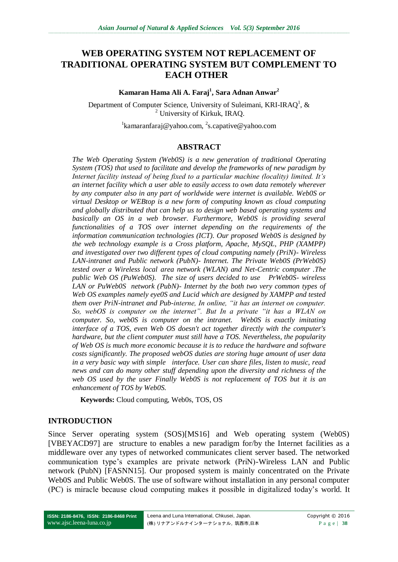# **WEB OPERATING SYSTEM NOT REPLACEMENT OF TRADITIONAL OPERATING SYSTEM BUT COMPLEMENT TO EACH OTHER**

#### **Kamaran Hama Ali A. Faraj<sup>1</sup> , Sara Adnan Anwar<sup>2</sup>**

Department of Computer Science, University of Suleimani, KRI-IRAQ<sup>1</sup>, & <sup>2</sup> University of Kirkuk, IRAQ.

<sup>1</sup>kamaranfaraj@yahoo.com, <sup>2</sup>s.capative@yahoo.com

### **ABSTRACT**

*The Web Operating System (Web0S) is a new generation of traditional Operating System (TOS) that used to facilitate and develop the frameworks of new paradigm by Internet facility instead of being fixed to a particular machine (locality) limited. It's an internet facility which a user able to easily access to own data remotely wherever by any computer also in any part of worldwide were internet is available. Web0S or virtual Desktop or WEBtop is a new form of computing known as cloud computing and globally distributed that can help us to design web based operating systems and basically an OS in a web browser. Furthermore, Web0S is providing several functionalities of a TOS over internet depending on the requirements of the information communication technologies (ICT). Our proposed Web0S is designed by the web technology example is a Cross platform, Apache, MySQL, PHP (XAMPP) and investigated over two different types of cloud computing namely (PriN)- Wireless LAN-intranet and Public network (PubN)- Internet. The Private Web0S (PrWeb0S) tested over a Wireless local area network (WLAN) and Net-Centric computer .The public Web OS (PuWeb0S). The size of users decided to use PrWeb0S- wireless LAN or PuWeb0S network (PubN)- Internet by the both two very common types of Web OS examples namely eye0S and Lucid which are designed by XAMPP and tested them over PriN-intranet and Pub-interne, In online, "it has an internet on computer. So, webOS is computer on the internet". But In a private "it has a WLAN on computer. So, web0S is computer on the intranet. Web0S is exactly imitating interface of a TOS, even Web OS doesn't act together directly with the computer's hardware, but the client computer must still have a TOS. Nevertheless, the popularity of Web OS is much more economic because it is to reduce the hardware and software costs significantly. The proposed webOS duties are storing huge amount of user data in a very basic way with simple interface. User can share files, listen to music, read news and can do many other stuff depending upon the diversity and richness of the web OS used by the user Finally Web0S is not replacement of TOS but it is an enhancement of TOS by Web0S.*

**Keywords:** Cloud computing, Web0s, TOS, OS

### **INTRODUCTION**

Since Server operating system (SOS)[MS16] and Web operating system (Web0S) [VBEYACD97] are structure to enables a new paradigm for/by the Internet facilities as a middleware over any types of networked communicates client server based. The networked communication type's examples are private network (PriN)-Wireless LAN and Public network (PubN) [FASNN15]. Our proposed system is mainly concentrated on the Private Web0S and Public Web0S. The use of software without installation in any personal computer (PC) is miracle because cloud computing makes it possible in digitalized today's world. It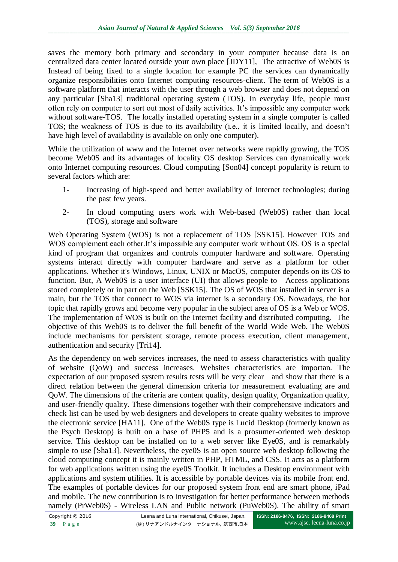saves the memory both primary and secondary in your computer because data is on centralized data center located outside your own place [JDY11], The attractive of Web0S is Instead of being fixed to a single location for example PC the services can dynamically organize responsibilities onto Internet computing resources-client. The term of Web0S is a software platform that interacts with the user through a web browser and does not depend on any particular [Sha13] traditional operating system (TOS). In everyday life, people must often rely on computer to sort out most of daily activities. It's impossible any computer work without software-TOS. The locally installed operating system in a single computer is called TOS; the weakness of TOS is due to its availability (i.e., it is limited locally, and doesn't have high level of availability is available on only one computer).

While the utilization of www and the Internet over networks were rapidly growing, the TOS become Web0S and its advantages of locality OS desktop Services can dynamically work onto Internet computing resources. Cloud computing [Son04] concept popularity is return to several factors which are:

- 1- Increasing of high-speed and better availability of Internet technologies; during the past few years.
- 2- In cloud computing users work with Web-based (Web0S) rather than local (TOS), storage and software

Web Operating System (WOS) is not a replacement of TOS [SSK15]. However TOS and WOS complement each other.It's impossible any computer work without OS. OS is a special kind of program that organizes and controls computer hardware and software. Operating systems interact directly with computer hardware and serve as a platform for other applications. Whether it's Windows, Linux, UNIX or MacOS, computer depends on its OS to function. But, A Web0S is a user interface (UI) that allows people to Access applications stored completely or in part on the Web [SSK15]. The OS of WOS that installed in server is a main, but the TOS that connect to WOS via internet is a secondary OS. Nowadays, the hot topic that rapidly grows and become very popular in the subject area of OS is a Web or WOS. The implementation of WOS is built on the Internet facility and distributed computing. The objective of this Web0S is to deliver the full benefit of the World Wide Web. The Web0S include mechanisms for persistent storage, remote process execution, client management, authentication and security [Tri14].

As the dependency on web services increases, the need to assess characteristics with quality of website (QoW) and success increases. Websites characteristics are importan. The expectation of our proposed system results tests will be very clear and show that there is a direct relation between the general dimension criteria for measurement evaluating are and QoW. The dimensions of the criteria are content quality, design quality, Organization quality, and user-friendly quality. These dimensions together with their comprehensive indicators and check list can be used by web designers and developers to create quality websites to improve the electronic service [HA11]. One of the Web0S type is Lucid Desktop (formerly known as the Psych Desktop) is built on a base of PHP5 and is a prosumer-oriented web desktop service. This desktop can be installed on to a web server like Eye0S, and is remarkably simple to use [Sha13]. Nevertheless, the eye0S is an open source web desktop following the cloud computing concept it is mainly written in PHP, HTML, and CSS. It acts as a platform for web applications written using the eye0S Toolkit. It includes a Desktop environment with applications and system utilities. It is accessible by portable devices via its mobile front end. The examples of portable devices for our proposed system front end are smart phone, iPad and mobile. The new contribution is to investigation for better performance between methods namely (PrWeb0S) - Wireless LAN and Public network (PuWeb0S). The ability of smart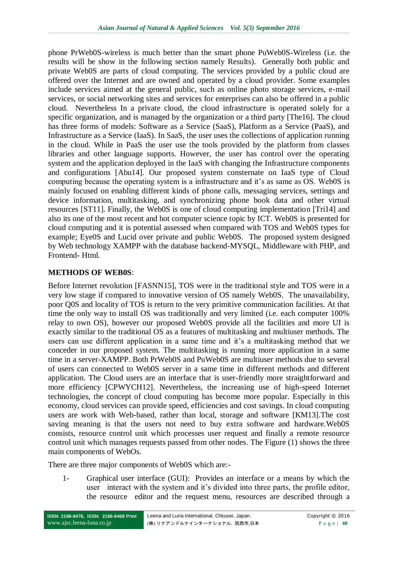phone PrWeb0S-wireless is much better than the smart phone PuWeb0S-Wireless (i.e. the results will be show in the following section namely Results). Generally both public and private Web0S are parts of cloud computing. The services provided by a public cloud are offered over the Internet and are owned and operated by a cloud provider. Some examples include services aimed at the general public, such as online photo storage services, e-mail services, or social networking sites and services for enterprises can also be offered in a public cloud. Nevertheless In a private cloud, the cloud infrastructure is operated solely for a specific organization, and is managed by the organization or a third party [The16]. The cloud has three forms of models: Software as a Service (SaaS), Platform as a Service (PaaS), and Infrastructure as a Service (IaaS). In SaaS, the user uses the collections of application running in the cloud. While in PaaS the user use the tools provided by the platform from classes libraries and other language supports. However, the user has control over the operating system and the application deployed in the IaaS with changing the Infrastructure components and configurations [Abu14]. Our proposed system consternate on IaaS type of Cloud computing because the operating system is a infrastructure and it's as same as OS. Web0S is mainly focused on enabling different kinds of phone calls, messaging services, settings and device information, multitasking, and synchronizing phone book data and other virtual resources [ST11]. Finally, the Web0S is one of cloud computing implementation [Tri14] and also its one of the most recent and hot computer science topic by ICT. Web0S is presented for cloud computing and it is potential assessed when compared with TOS and Web0S types for example; Eye0S and Lucid over private and public Web0S. The proposed system designed by Web technology XAMPP with the database backend-MYSQL, Middleware with PHP, and Frontend- Html.

## **METHODS OF WEB0S**:

Before Internet revolution [FASNN15], TOS were in the traditional style and TOS were in a very low stage if compared to innovative version of OS namely Web0S. The unavailability, poor Q0S and locality of TOS is return to the very primitive communication facilities. At that time the only way to install OS was traditionally and very limited (i.e. each computer 100% relay to own OS), however our proposed Web0S provide all the facilities and more UI is exactly similar to the traditional OS as a features of multitasking and multiuser methods. The users can use different application in a same time and it's a multitasking method that we conceder in our proposed system. The multitasking is running more application in a same time in a server-XAMPP. Both PrWeb0S and PuWeb0S are multiuser methods due to several of users can connected to Web0S server in a same time in different methods and different application. The Cloud users are an interface that is user-friendly more straightforward and more efficiency [CPWYCH12]. Nevertheless, the increasing use of high-speed Internet technologies, the concept of cloud computing has become more popular. Especially in this economy, cloud services can provide speed, efficiencies and cost savings. In cloud computing users are work with Web-based, rather than local, storage and software [KM13].The cost saving meaning is that the users not need to buy extra software and hardware.Web0S consists, resource control unit which processes user request and finally a remote resource control unit which manages requests passed from other nodes. The Figure (1) shows the three main components of WebOs.

There are three major components of Web0S which are:-

1- Graphical user interface (GUI): Provides an interface or a means by which the user interact with the system and it's divided into three parts, the profile editor, the resource editor and the request menu, resources are described through a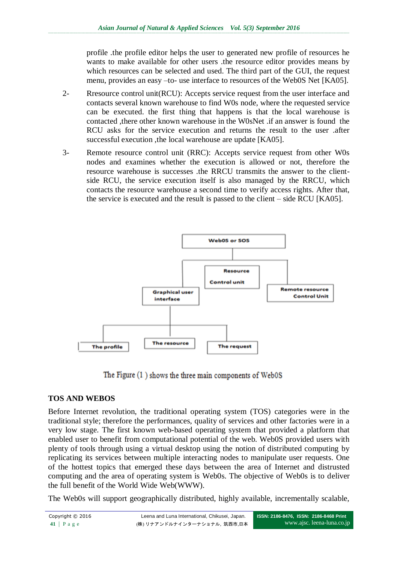profile .the profile editor helps the user to generated new profile of resources he wants to make available for other users .the resource editor provides means by which resources can be selected and used. The third part of the GUI, the request menu, provides an easy –to- use interface to resources of the Web0S Net [KA05].

- 2- Rresource control unit(RCU): Accepts service request from the user interface and contacts several known warehouse to find W0s node, where the requested service can be executed. the first thing that happens is that the local warehouse is contacted ,there other known warehouse in the W0sNet .if an answer is found the RCU asks for the service execution and returns the result to the user .after successful execution ,the local warehouse are update [KA05].
- 3- Remote resource control unit (RRC): Accepts service request from other W0s nodes and examines whether the execution is allowed or not, therefore the resource warehouse is successes .the RRCU transmits the answer to the clientside RCU, the service execution itself is also managed by the RRCU, which contacts the resource warehouse a second time to verify access rights. After that, the service is executed and the result is passed to the client – side RCU [KA05].



The Figure  $(1)$  shows the three main components of Web0S

## **TOS AND WEBOS**

Before Internet revolution, the traditional operating system (TOS) categories were in the traditional style; therefore the performances, quality of services and other factories were in a very low stage. The first known web-based operating system that provided a platform that enabled user to benefit from computational potential of the web. Web0S provided users with plenty of tools through using a virtual desktop using the notion of distributed computing by replicating its services between multiple interacting nodes to manipulate user requests. One of the hottest topics that emerged these days between the area of Internet and distrusted computing and the area of operating system is Web0s. The objective of Web0s is to deliver the full benefit of the World Wide Web(WWW).

The Web0s will support geographically distributed, highly available, incrementally scalable,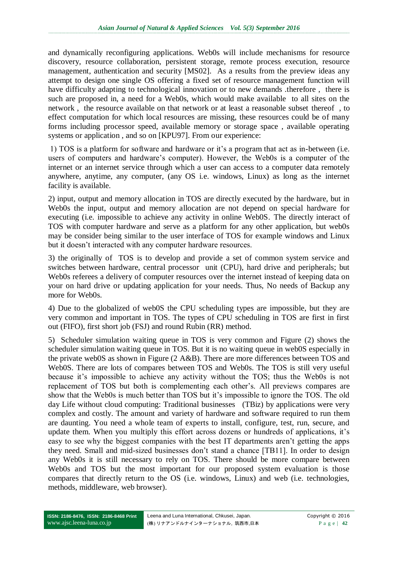and dynamically reconfiguring applications. Web0s will include mechanisms for resource discovery, resource collaboration, persistent storage, remote process execution, resource management, authentication and security [MS02]. As a results from the preview ideas any attempt to design one single OS offering a fixed set of resource management function will have difficulty adapting to technological innovation or to new demands .therefore , there is such are proposed in, a need for a Web0s, which would make available to all sites on the network , the resource available on that network or at least a reasonable subset thereof , to effect computation for which local resources are missing, these resources could be of many forms including processor speed, available memory or storage space , available operating systems or application , and so on [KPU97]. From our experience:

1) TOS is a platform for software and hardware or it's a program that act as in-between (i.e. users of computers and hardware's computer). However, the Web0s is a computer of the internet or an internet service through which a user can access to a computer data remotely anywhere, anytime, any computer, (any OS i.e. windows, Linux) as long as the internet facility is available.

2) input, output and memory allocation in TOS are directly executed by the hardware, but in Web0s the input, output and memory allocation are not depend on special hardware for executing (i.e. impossible to achieve any activity in online Web0S. The directly interact of TOS with computer hardware and serve as a platform for any other application, but web0s may be consider being similar to the user interface of TOS for example windows and Linux but it doesn't interacted with any computer hardware resources.

3) the originally of TOS is to develop and provide a set of common system service and switches between hardware, central processor unit (CPU), hard drive and peripherals; but Web0s referees a delivery of computer resources over the internet instead of keeping data on your on hard drive or updating application for your needs. Thus, No needs of Backup any more for Web0s.

4) Due to the globalized of web0S the CPU scheduling types are impossible, but they are very common and important in TOS. The types of CPU scheduling in TOS are first in first out (FIFO), first short job (FSJ) and round Rubin (RR) method.

5) Scheduler simulation waiting queue in TOS is very common and Figure (2) shows the scheduler simulation waiting queue in TOS. But it is no waiting queue in web0S especially in the private web0S as shown in Figure (2 A&B). There are more differences between TOS and Web0S. There are lots of compares between TOS and Web0s. The TOS is still very useful because it's impossible to achieve any activity without the TOS; thus the Web0s is not replacement of TOS but both is complementing each other's. All previews compares are show that the Web0s is much better than TOS but it's impossible to ignore the TOS. The old day Life without cloud computing: Traditional businesses (TBiz) by applications were very complex and costly. The amount and variety of hardware and software required to run them are daunting. You need a whole team of experts to install, configure, test, run, secure, and update them. When you multiply this effort across dozens or hundreds of applications, it's easy to see why the biggest companies with the best IT departments aren't getting the apps they need. Small and mid-sized businesses don't stand a chance [TB11]. In order to design any Web0s it is still necessary to rely on TOS. There should be more compare between Web0s and TOS but the most important for our proposed system evaluation is those compares that directly return to the OS (i.e. windows, Linux) and web (i.e. technologies, methods, middleware, web browser).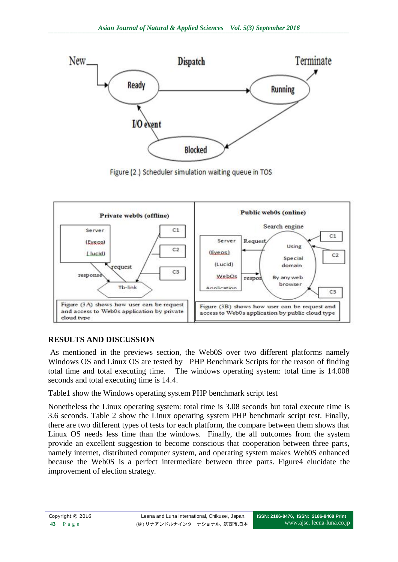

Figure (2.) Scheduler simulation waiting queue in TOS



# **RESULTS AND DISCUSSION**

As mentioned in the previews section, the Web0S over two different platforms namely Windows OS and Linux OS are tested by PHP Benchmark Scripts for the reason of finding total time and total executing time. The windows operating system: total time is 14.008 seconds and total executing time is 14.4.

Table1 show the Windows operating system PHP benchmark script test

Nonetheless the Linux operating system: total time is 3.08 seconds but total execute time is 3.6 seconds. Table 2 show the Linux operating system PHP benchmark script test. Finally, there are two different types of tests for each platform, the compare between them shows that Linux OS needs less time than the windows. Finally, the all outcomes from the system provide an excellent suggestion to become conscious that cooperation between three parts, namely internet, distributed computer system, and operating system makes Web0S enhanced because the Web0S is a perfect intermediate between three parts. Figure4 elucidate the improvement of election strategy.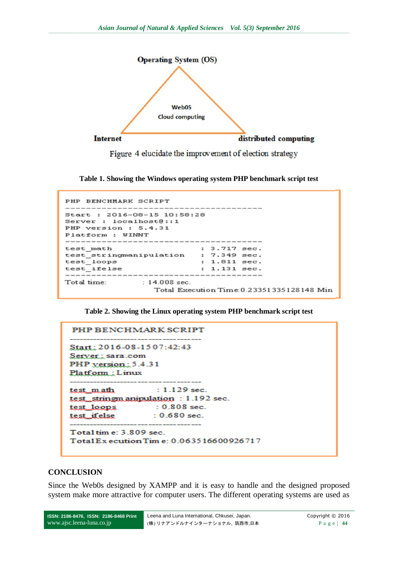

Figure 4 elucidate the improvement of election strategy

**Table 1. Showing the Windows operating system PHP benchmark script test**

```
PHP BENCHMARK SCRIPT
                             -----------
Start : 2016-08-15 10:58:28
Server : localhost@::1
PHP version : 5.4.31
Platform : WINNT
         --------------
test_math
                          : 3.717 sec.
test_stringmanipulation : 7.349 sec.<br>test_loops : 1.811 sec.
test
                           : 1.131 sec.
test_ifelse
      Total time:
           : 14.008 sec.
                 Total Execution Time: 0.23351335128148 Min
```
**Table 2. Showing the Linux operating system PHP benchmark script test**

```
PHP BENCHMARK SCRIPT
Start: 2016-08-1507:42:43
Server: sara.com
PHP yersion: 5.4.31
Platform: Linux
                 : 1.129 sec.
test_m.ath
test_stringmanipulation : 1.192 sec.
test_loops : 0.808 sec.
test_ifelse
                : 0.680 sec.
                    -------------
Total tim e: 3.809 sec.
Total Execution Time: 0.063516600926717
```
#### **CONCLUSION**

Since the Web0s designed by XAMPP and it is easy to handle and the designed proposed system make more attractive for computer users. The different operating systems are used as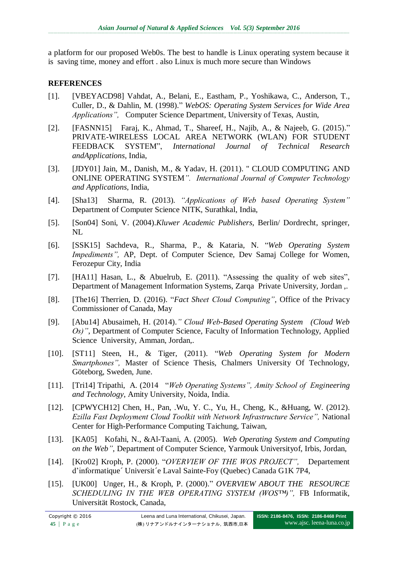a platform for our proposed Web0s. The best to handle is Linux operating system because it is saving time, money and effort . also Linux is much more secure than Windows

## **REFERENCES**

- [1]. [VBEYACD98] Vahdat, A., Belani, E., Eastham, P., Yoshikawa, C., Anderson, T., Culler, D., & Dahlin, M. (1998)." *WebOS: Operating System Services for Wide Area Applications",* Computer Science Department, University of Texas, Austin,
- [2]. [FASNN15] Faraj, K., Ahmad, T., Shareef, H., Najib, A., & Najeeb, G. (2015)." PRIVATE-WIRELESS LOCAL AREA NETWORK (WLAN) FOR STUDENT FEEDBACK SYSTEM", *International Journal of Technical Research andApplications*, India,
- [3]. [JDY01] Jain, M., Danish, M., & Yadav, H. (2011). " CLOUD COMPUTING AND ONLINE OPERATING SYSTEM*". International Journal of Computer Technology and Applications,* India,
- [4]. [Sha13] Sharma, R. (2013). *"Applications of Web based Operating System"* Department of Computer Science NITK, Surathkal, India,
- [5]. [Son04] Soni, V. (2004).*Kluwer Academic Publishers,* Berlin/ Dordrecht, springer, NL
- [6]. [SSK15] Sachdeva, R., Sharma, P., & Kataria, N. "*Web Operating System Impediments"*, AP, Dept. of Computer Science, Dev Samaj College for Women, Ferozepur City, India
- [7]. [HA11] Hasan, L., & Abuelrub, E. (2011). "Assessing the quality of web sites", Department of Management Information Systems, Zarqa Private University, Jordan ,.
- [8]. [The16] Therrien, D. (2016). "*Fact Sheet Cloud Computing"*, Office of the Privacy Commissioner of Canada, May
- [9]. [Abu14] Abusaimeh, H. (2014).*" Cloud Web-Based Operating System (Cloud Web Os)"*, Department of Computer Science, Faculty of Information Technology, Applied Science University, Amman, Jordan,.
- [10]. [ST11] Steen, H., & Tiger, (2011). "*Web Operating System for Modern Smartphones",* Master of Science Thesis, Chalmers University Of Technology, Göteborg, Sweden, June.
- [11]. [Tri14] Tripathi, A. (2014 "*Web Operating Systems", Amity School of Engineering and Technology*, Amity University, Noida, India.
- [12]. [CPWYCH12] Chen, H., Pan, .Wu, Y. C., Yu, H., Cheng, K., &Huang, W. (2012). *Ezilla Fast Deployment Cloud Toolkit with Network Infrastructure Service",* National Center for High-Performance Computing Taichung, Taiwan,
- [13]. [KA05] Kofahi, N., &Al-Taani, A. (2005). *Web Operating System and Computing on the Web"*, Department of Computer Science, Yarmouk Universityof, Irbis, Jordan,
- [14]. [Kro02] Kroph, P. (2000). "*OVERVIEW OF THE WOS PROJECT",* Departement d'informatique´ Universit´e Laval Sainte-Foy (Quebec) Canada G1K 7P4,
- [15]. [UK00] Unger, H., & Kroph, P. (2000)." *OVERVIEW ABOUT THE RESOURCE SCHEDULING IN THE WEB OPERATING SYSTEM (WOS™)",* FB Informatik, Universität Rostock, Canada,